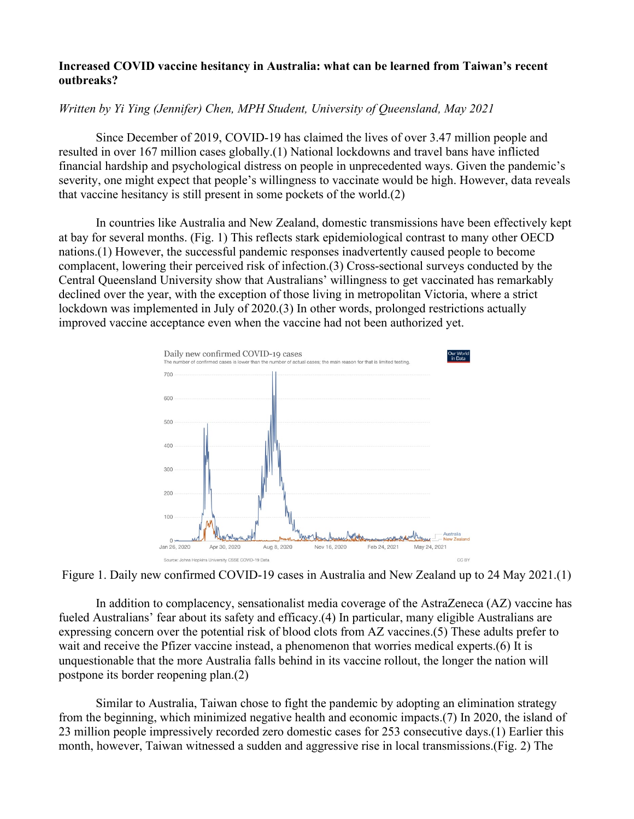## **Increased COVID vaccine hesitancy in Australia: what can be learned from Taiwan's recent outbreaks?**

## *Written by Yi Ying (Jennifer) Chen, MPH Student, University of Queensland, May 2021*

Since December of 2019, COVID-19 has claimed the lives of over 3.47 million people and resulted in over 167 million cases globally.(1) National lockdowns and travel bans have inflicted financial hardship and psychological distress on people in unprecedented ways. Given the pandemic's severity, one might expect that people's willingness to vaccinate would be high. However, data reveals that vaccine hesitancy is still present in some pockets of the world.(2)

In countries like Australia and New Zealand, domestic transmissions have been effectively kept at bay for several months. (Fig. 1) This reflects stark epidemiological contrast to many other OECD nations.(1) However, the successful pandemic responses inadvertently caused people to become complacent, lowering their perceived risk of infection.(3) Cross-sectional surveys conducted by the Central Queensland University show that Australians' willingness to get vaccinated has remarkably declined over the year, with the exception of those living in metropolitan Victoria, where a strict lockdown was implemented in July of 2020.(3) In other words, prolonged restrictions actually improved vaccine acceptance even when the vaccine had not been authorized yet.



Figure 1. Daily new confirmed COVID-19 cases in Australia and New Zealand up to 24 May 2021.(1)

In addition to complacency, sensationalist media coverage of the AstraZeneca (AZ) vaccine has fueled Australians' fear about its safety and efficacy.(4) In particular, many eligible Australians are expressing concern over the potential risk of blood clots from AZ vaccines.(5) These adults prefer to wait and receive the Pfizer vaccine instead, a phenomenon that worries medical experts.(6) It is unquestionable that the more Australia falls behind in its vaccine rollout, the longer the nation will postpone its border reopening plan.(2)

Similar to Australia, Taiwan chose to fight the pandemic by adopting an elimination strategy from the beginning, which minimized negative health and economic impacts.(7) In 2020, the island of 23 million people impressively recorded zero domestic cases for 253 consecutive days.(1) Earlier this month, however, Taiwan witnessed a sudden and aggressive rise in local transmissions.(Fig. 2) The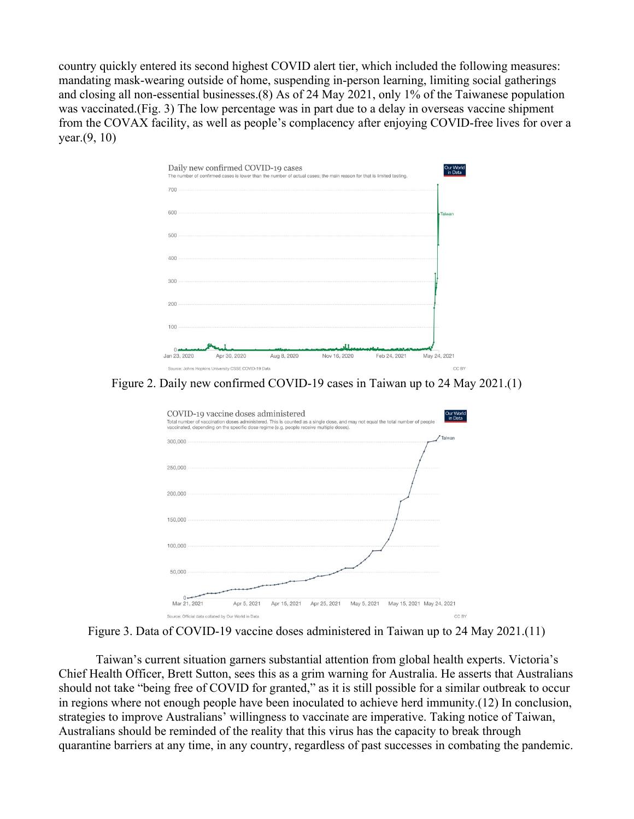country quickly entered its second highest COVID alert tier, which included the following measures: mandating mask-wearing outside of home, suspending in-person learning, limiting social gatherings and closing all non-essential businesses.(8) As of 24 May 2021, only 1% of the Taiwanese population was vaccinated.(Fig. 3) The low percentage was in part due to a delay in overseas vaccine shipment from the COVAX facility, as well as people's complacency after enjoying COVID-free lives for over a year.(9, 10)



Figure 2. Daily new confirmed COVID-19 cases in Taiwan up to 24 May 2021.(1)



Figure 3. Data of COVID-19 vaccine doses administered in Taiwan up to 24 May 2021.(11)

Taiwan's current situation garners substantial attention from global health experts. Victoria's Chief Health Officer, Brett Sutton, sees this as a grim warning for Australia. He asserts that Australians should not take "being free of COVID for granted," as it is still possible for a similar outbreak to occur in regions where not enough people have been inoculated to achieve herd immunity.(12) In conclusion, strategies to improve Australians' willingness to vaccinate are imperative. Taking notice of Taiwan, Australians should be reminded of the reality that this virus has the capacity to break through quarantine barriers at any time, in any country, regardless of past successes in combating the pandemic.